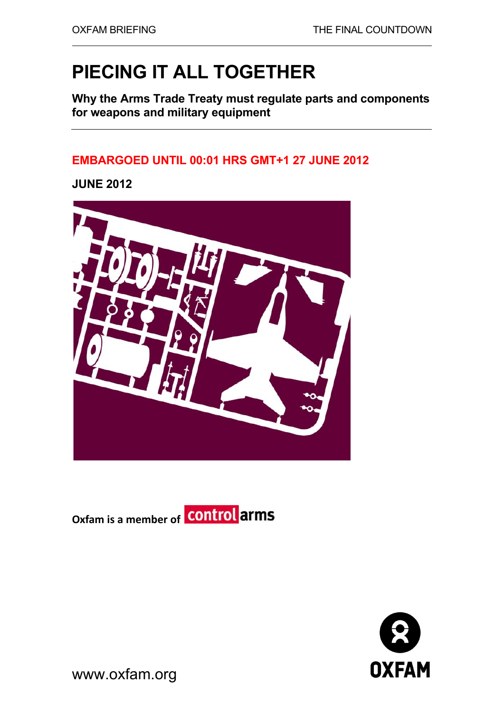# **PIECING IT ALL TOGETHER**

**Why the Arms Trade Treaty must regulate parts and components for weapons and military equipment** 

## **EMBARGOED UNTIL 00:01 HRS GMT+1 27 JUNE 2012**

**JUNE 2012** 







www.oxfam.org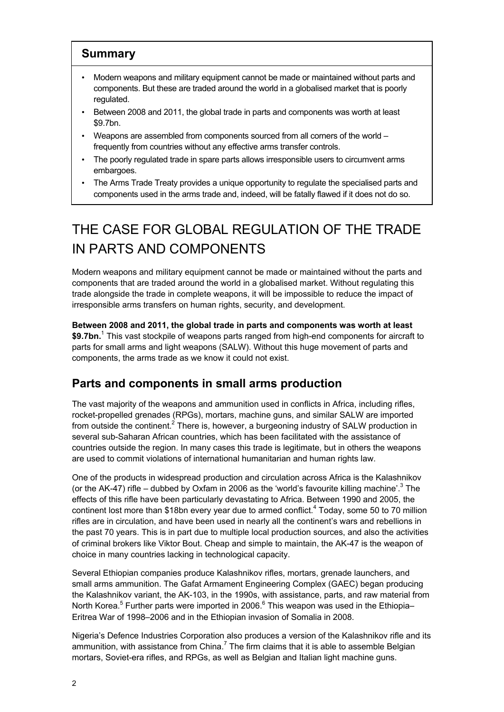#### **Summary**

- Modern weapons and military equipment cannot be made or maintained without parts and components. But these are traded around the world in a globalised market that is poorly regulated.
- Between 2008 and 2011, the global trade in parts and components was worth at least \$9.7bn.
- Weapons are assembled from components sourced from all corners of the world frequently from countries without any effective arms transfer controls.
- The poorly regulated trade in spare parts allows irresponsible users to circumvent arms embargoes.
- The Arms Trade Treaty provides a unique opportunity to regulate the specialised parts and components used in the arms trade and, indeed, will be fatally flawed if it does not do so.

# THE CASE FOR GLOBAL REGULATION OF THE TRADE IN PARTS AND COMPONENTS

Modern weapons and military equipment cannot be made or maintained without the parts and components that are traded around the world in a globalised market. Without regulating this trade alongside the trade in complete weapons, it will be impossible to reduce the impact of irresponsible arms transfers on human rights, security, and development.

**Between 2008 and 2011, the global trade in parts and components was worth at least \$9.7bn.**<sup>1</sup> This vast stockpile of weapons parts ranged from high-end components for aircraft to parts for small arms and light weapons (SALW). Without this huge movement of parts and components, the arms trade as we know it could not exist.

### **Parts and components in small arms production**

The vast majority of the weapons and ammunition used in conflicts in Africa, including rifles, rocket-propelled grenades (RPGs), mortars, machine guns, and similar SALW are imported from outside the continent.<sup>2</sup> There is, however, a burgeoning industry of SALW production in several sub-Saharan African countries, which has been facilitated with the assistance of countries outside the region. In many cases this trade is legitimate, but in others the weapons are used to commit violations of international humanitarian and human rights law.

One of the products in widespread production and circulation across Africa is the Kalashnikov (or the AK-47) rifle – dubbed by Oxfam in 2006 as the 'world's favourite killing machine'.<sup>3</sup> The effects of this rifle have been particularly devastating to Africa. Between 1990 and 2005, the continent lost more than \$18bn every year due to armed conflict.<sup>4</sup> Today, some 50 to 70 million rifles are in circulation, and have been used in nearly all the continent's wars and rebellions in the past 70 years. This is in part due to multiple local production sources, and also the activities of criminal brokers like Viktor Bout. Cheap and simple to maintain, the AK-47 is the weapon of choice in many countries lacking in technological capacity.

Several Ethiopian companies produce Kalashnikov rifles, mortars, grenade launchers, and small arms ammunition. The Gafat Armament Engineering Complex (GAEC) began producing the Kalashnikov variant, the AK-103, in the 1990s, with assistance, parts, and raw material from North Korea.<sup>5</sup> Further parts were imported in 2006.<sup>6</sup> This weapon was used in the Ethiopia– Eritrea War of 1998–2006 and in the Ethiopian invasion of Somalia in 2008.

Nigeria's Defence Industries Corporation also produces a version of the Kalashnikov rifle and its ammunition, with assistance from China.<sup>7</sup> The firm claims that it is able to assemble Belgian mortars, Soviet-era rifles, and RPGs, as well as Belgian and Italian light machine guns.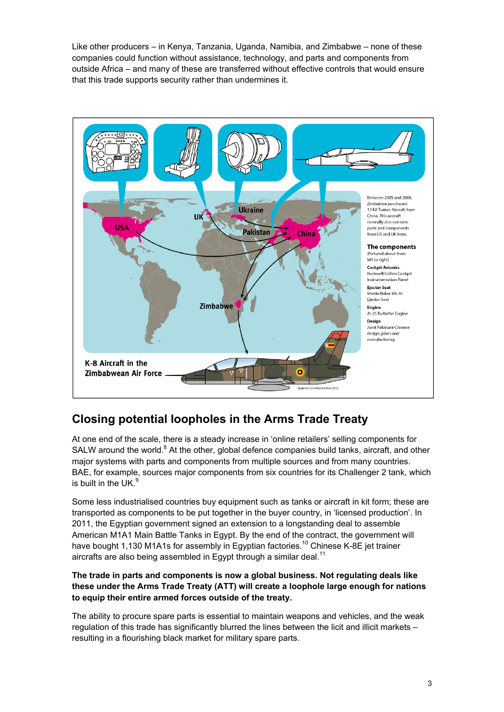Like other producers – in Kenya, Tanzania, Uganda, Namibia, and Zimbabwe – none of these companies could function without assistance, technology, and parts and components from outside Africa – and many of these are transferred without effective controls that would ensure that this trade supports security rather than undermines it.



## **Closing potential loopholes in the Arms Trade Treaty**

At one end of the scale, there is a steady increase in 'online retailers' selling components for SALW around the world.<sup>8</sup> At the other, global defence companies build tanks, aircraft, and other major systems with parts and components from multiple sources and from many countries. BAE, for example, sources major components from six countries for its Challenger 2 tank, which is built in the UK. $9$ 

Some less industrialised countries buy equipment such as tanks or aircraft in kit form; these are transported as components to be put together in the buyer country, in 'licensed production'. In 2011, the Egyptian government signed an extension to a longstanding deal to assemble American M1A1 Main Battle Tanks in Egypt. By the end of the contract, the government will have bought 1,130 M1A1s for assembly in Egyptian factories.<sup>10</sup> Chinese K-8E jet trainer aircrafts are also being assembled in Egypt through a similar deal.<sup>11</sup>

#### **The trade in parts and components is now a global business. Not regulating deals like these under the Arms Trade Treaty (ATT) will create a loophole large enough for nations to equip their entire armed forces outside of the treaty.**

The ability to procure spare parts is essential to maintain weapons and vehicles, and the weak regulation of this trade has significantly blurred the lines between the licit and illicit markets – resulting in a flourishing black market for military spare parts.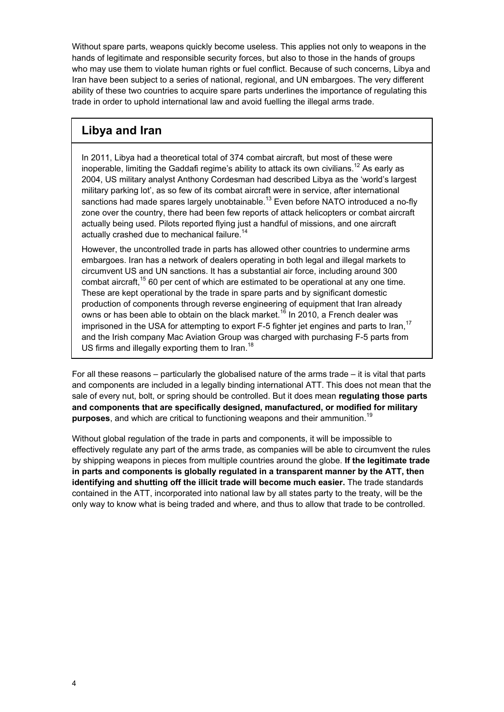Without spare parts, weapons quickly become useless. This applies not only to weapons in the hands of legitimate and responsible security forces, but also to those in the hands of groups who may use them to violate human rights or fuel conflict. Because of such concerns, Libya and Iran have been subject to a series of national, regional, and UN embargoes. The very different ability of these two countries to acquire spare parts underlines the importance of regulating this trade in order to uphold international law and avoid fuelling the illegal arms trade.

### **Libya and Iran**

In 2011, Libya had a theoretical total of 374 combat aircraft, but most of these were inoperable, limiting the Gaddafi regime's ability to attack its own civilians.<sup>12</sup> As early as 2004, US military analyst Anthony Cordesman had described Libya as the 'world's largest military parking lot', as so few of its combat aircraft were in service, after international sanctions had made spares largely unobtainable.<sup>13</sup> Even before NATO introduced a no-fly zone over the country, there had been few reports of attack helicopters or combat aircraft actually being used. Pilots reported flying just a handful of missions, and one aircraft actually crashed due to mechanical failure.<sup>14</sup>

However, the uncontrolled trade in parts has allowed other countries to undermine arms embargoes. Iran has a network of dealers operating in both legal and illegal markets to circumvent US and UN sanctions. It has a substantial air force, including around 300 combat aircraft,<sup>15</sup> 60 per cent of which are estimated to be operational at any one time. These are kept operational by the trade in spare parts and by significant domestic production of components through reverse engineering of equipment that Iran already owns or has been able to obtain on the black market.<sup>16</sup> In 2010, a French dealer was imprisoned in the USA for attempting to export F-5 fighter jet engines and parts to Iran.<sup>17</sup> and the Irish company Mac Aviation Group was charged with purchasing F-5 parts from US firms and illegally exporting them to Iran.<sup>18</sup>

For all these reasons – particularly the globalised nature of the arms trade – it is vital that parts and components are included in a legally binding international ATT. This does not mean that the sale of every nut, bolt, or spring should be controlled. But it does mean **regulating those parts and components that are specifically designed, manufactured, or modified for military purposes**, and which are critical to functioning weapons and their ammunition.<sup>19</sup>

Without global regulation of the trade in parts and components, it will be impossible to effectively regulate any part of the arms trade, as companies will be able to circumvent the rules by shipping weapons in pieces from multiple countries around the globe. **If the legitimate trade in parts and components is globally regulated in a transparent manner by the ATT, then identifying and shutting off the illicit trade will become much easier.** The trade standards contained in the ATT, incorporated into national law by all states party to the treaty, will be the only way to know what is being traded and where, and thus to allow that trade to be controlled.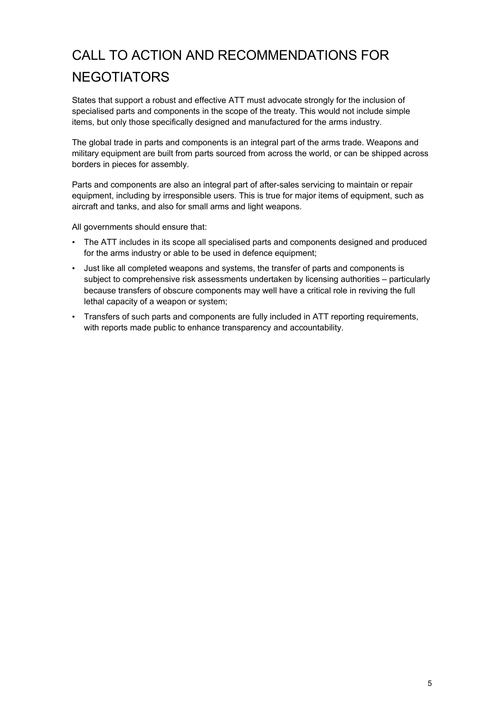# CALL TO ACTION AND RECOMMENDATIONS FOR **NEGOTIATORS**

States that support a robust and effective ATT must advocate strongly for the inclusion of specialised parts and components in the scope of the treaty. This would not include simple items, but only those specifically designed and manufactured for the arms industry.

The global trade in parts and components is an integral part of the arms trade. Weapons and military equipment are built from parts sourced from across the world, or can be shipped across borders in pieces for assembly.

Parts and components are also an integral part of after-sales servicing to maintain or repair equipment, including by irresponsible users. This is true for major items of equipment, such as aircraft and tanks, and also for small arms and light weapons.

All governments should ensure that:

- The ATT includes in its scope all specialised parts and components designed and produced for the arms industry or able to be used in defence equipment;
- Just like all completed weapons and systems, the transfer of parts and components is subject to comprehensive risk assessments undertaken by licensing authorities – particularly because transfers of obscure components may well have a critical role in reviving the full lethal capacity of a weapon or system;
- Transfers of such parts and components are fully included in ATT reporting requirements, with reports made public to enhance transparency and accountability.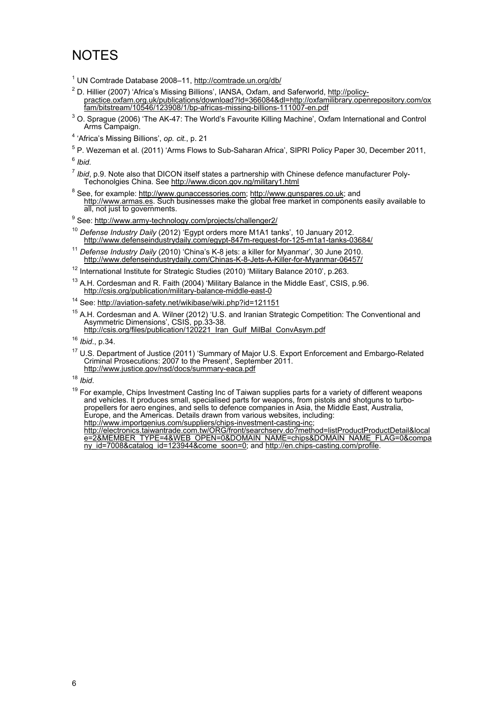## **NOTES**

- <sup>1</sup> UN Comtrade Database 2008-11, http://comtrade.un.org/db/
- <sup>2</sup> D. Hillier (2007) 'Africa's Missing Billions', IANSA, Oxfam, and Saferworld, http://policypractice.oxfam.org.uk/publications/download?Id=366084&dl=http://oxfamilibrary.openrepository.com/ox fam/bitstream/10546/123908/1/bp-africas-missing-billions-111007-en.pdf
- $3$  O. Sprague (2006) 'The AK-47: The World's Favourite Killing Machine', Oxfam International and Control Arms Campaign.
- 4 'Africa's Missing Billions', *op. cit.*, p. 21
- <sup>5</sup> P. Wezeman et al. (2011) 'Arms Flows to Sub-Saharan Africa', SIPRI Policy Paper 30, December 2011, <sup>6</sup> *Ibid.*

- <sup>7</sup> *Ibid*, p.9. Note also that DICON itself states a partnership with Chinese defence manufacturer Poly-Techonolgies China. See http://www.dicon.gov.ng/military1.html
- <sup>8</sup> See, for example: http://www.gunaccessories.com; http://www.gunspares.co.uk; and http://www.armas.es. Such businesses make the global free market in components easily available to all, not just to governments.

<sup>9</sup> See: http://www.army-technology.com/projects/challenger2/

- <sup>10</sup> *Defense Industry Daily* (2012) 'Egypt orders more M1A1 tanks', 10 January 2012. http://www.defenseindustrydaily.com/egypt-847m-request-for-125-m1a1-tanks-03684/
- <sup>11</sup> *Defense Industry Daily* (2010) 'China's K-8 jets: a killer for Myanmar', 30 June 2010. http://www.defenseindustrydaily.com/Chinas-K-8-Jets-A-Killer-for-Myanmar-06457/
- <sup>12</sup> International Institute for Strategic Studies (2010) 'Military Balance 2010', p.263.
- $13$  A.H. Cordesman and R. Faith (2004) 'Military Balance in the Middle East', CSIS, p.96. http://csis.org/publication/military-balance-middle-east-0

<sup>14</sup> See: http://aviation-safety.net/wikibase/wiki.php?id=121151

<sup>15</sup> A.H. Cordesman and A. Wilner (2012) 'U.S. and Iranian Strategic Competition: The Conventional and Asymmetric Dimensions', CSIS, pp.33-38. http://csis.org/files/publication/120221\_Iran\_Gulf\_MilBal\_ConvAsym.pdf

<sup>16</sup> *Ibid*., p.34.

<sup>17</sup> U.S. Department of Justice (2011) 'Summary of Major U.S. Export Enforcement and Embargo-Related Criminal Prosecutions: 2007 to the Present', September 2011. http://www.justice.gov/nsd/docs/summary-eaca.pdf

<sup>18</sup> *Ibid*.

<sup>19</sup> For example, Chips Investment Casting Inc of Taiwan supplies parts for a variety of different weapons and vehicles. It produces small, specialised parts for weapons, from pistols and shotguns to turbopropellers for aero engines, and sells to defence companies in Asia, the Middle East, Australia, Europe, and the Americas. Details drawn from various websites, including: http://www.importgenius.com/suppliers/chips-investment-casting-inc; http://electronics.taiwantrade.com.tw/ORG/front/searchserv.do?method=listProductProductDetail&local e=2&MEMBER\_TYPE=4&WEB\_OPEN=0&DOMAIN\_NAME=chips&DOMAIN\_NAME\_FLAG=0&compa ny\_id=7008&catalog\_id=123944&come\_soon=0; and http://en.chips-casting.com/profile.